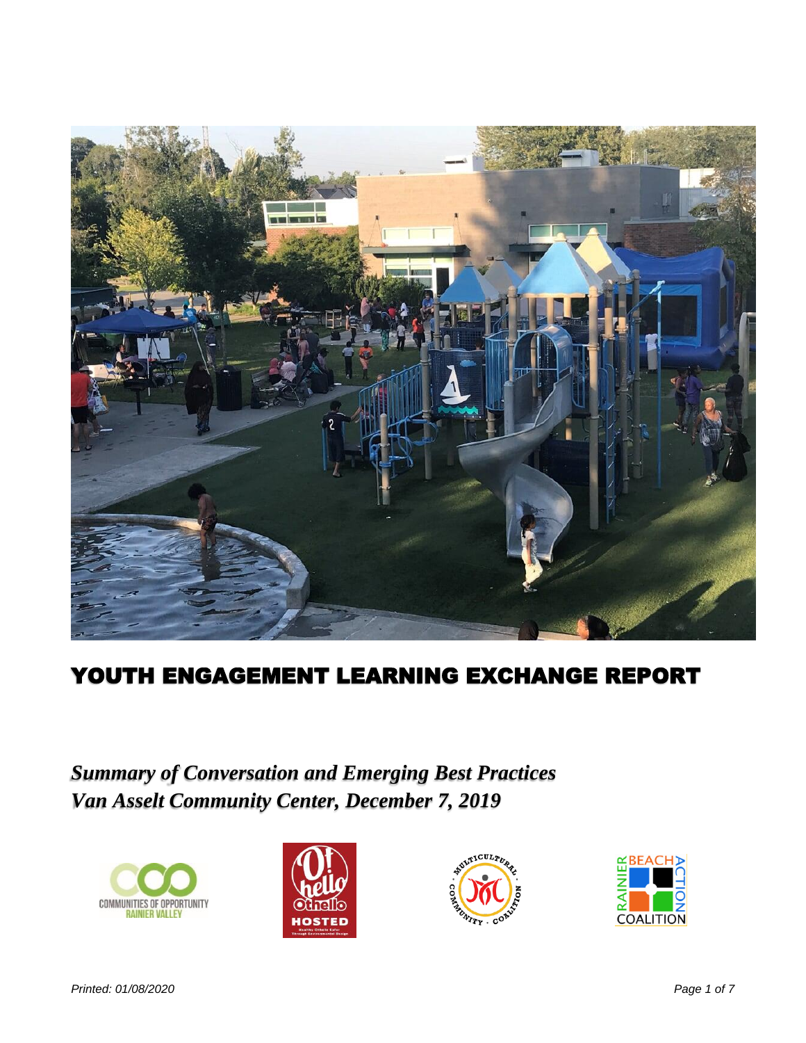

# YOUTH ENGAGEMENT LEARNING EXCHANGE REPORT

*Summary of Conversation and Emerging Best Practices Van Asselt Community Center, December 7, 2019*







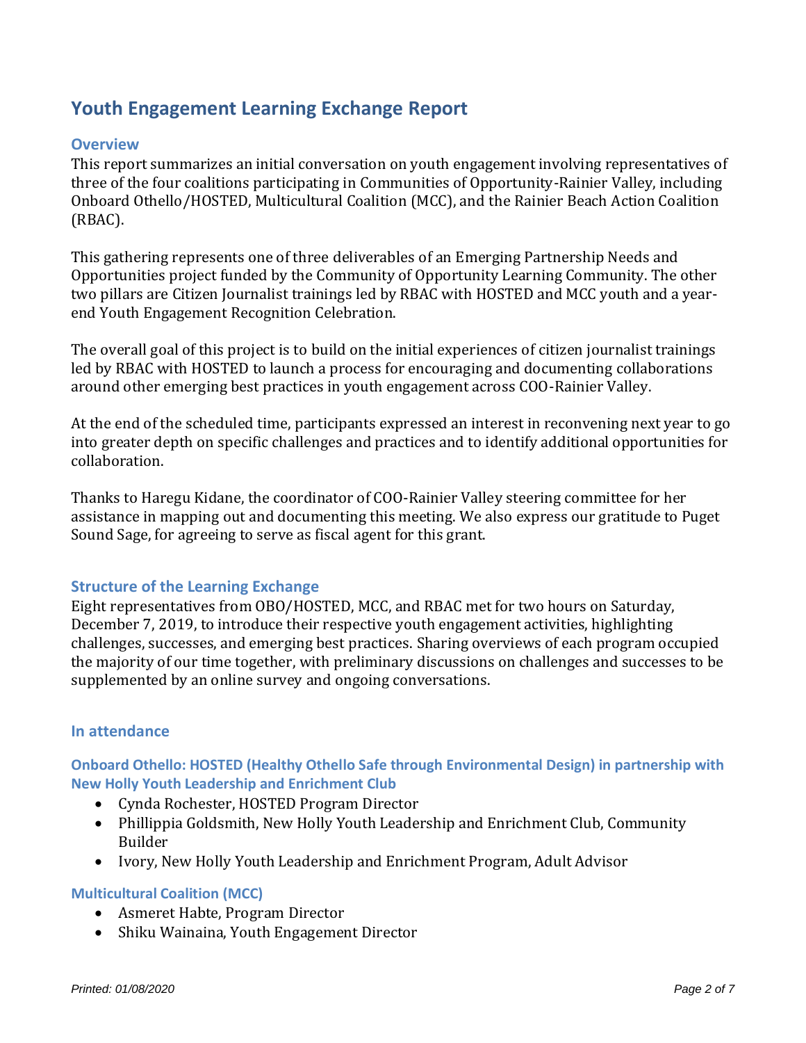## **Youth Engagement Learning Exchange Report**

## **Overview**

This report summarizes an initial conversation on youth engagement involving representatives of three of the four coalitions participating in Communities of Opportunity-Rainier Valley, including Onboard Othello/HOSTED, Multicultural Coalition (MCC), and the Rainier Beach Action Coalition (RBAC).

This gathering represents one of three deliverables of an Emerging Partnership Needs and Opportunities project funded by the Community of Opportunity Learning Community. The other two pillars are Citizen Journalist trainings led by RBAC with HOSTED and MCC youth and a yearend Youth Engagement Recognition Celebration.

The overall goal of this project is to build on the initial experiences of citizen journalist trainings led by RBAC with HOSTED to launch a process for encouraging and documenting collaborations around other emerging best practices in youth engagement across COO-Rainier Valley.

At the end of the scheduled time, participants expressed an interest in reconvening next year to go into greater depth on specific challenges and practices and to identify additional opportunities for collaboration.

Thanks to Haregu Kidane, the coordinator of COO-Rainier Valley steering committee for her assistance in mapping out and documenting this meeting. We also express our gratitude to Puget Sound Sage, for agreeing to serve as fiscal agent for this grant.

## **Structure of the Learning Exchange**

Eight representatives from OBO/HOSTED, MCC, and RBAC met for two hours on Saturday, December 7, 2019, to introduce their respective youth engagement activities, highlighting challenges, successes, and emerging best practices. Sharing overviews of each program occupied the majority of our time together, with preliminary discussions on challenges and successes to be supplemented by an online survey and ongoing conversations.

## **In attendance**

**Onboard Othello: HOSTED (Healthy Othello Safe through Environmental Design) in partnership with New Holly Youth Leadership and Enrichment Club**

- Cynda Rochester, HOSTED Program Director
- Phillippia Goldsmith, New Holly Youth Leadership and Enrichment Club, Community Builder
- Ivory, New Holly Youth Leadership and Enrichment Program, Adult Advisor

#### **Multicultural Coalition (MCC)**

- Asmeret Habte, Program Director
- Shiku Wainaina, Youth Engagement Director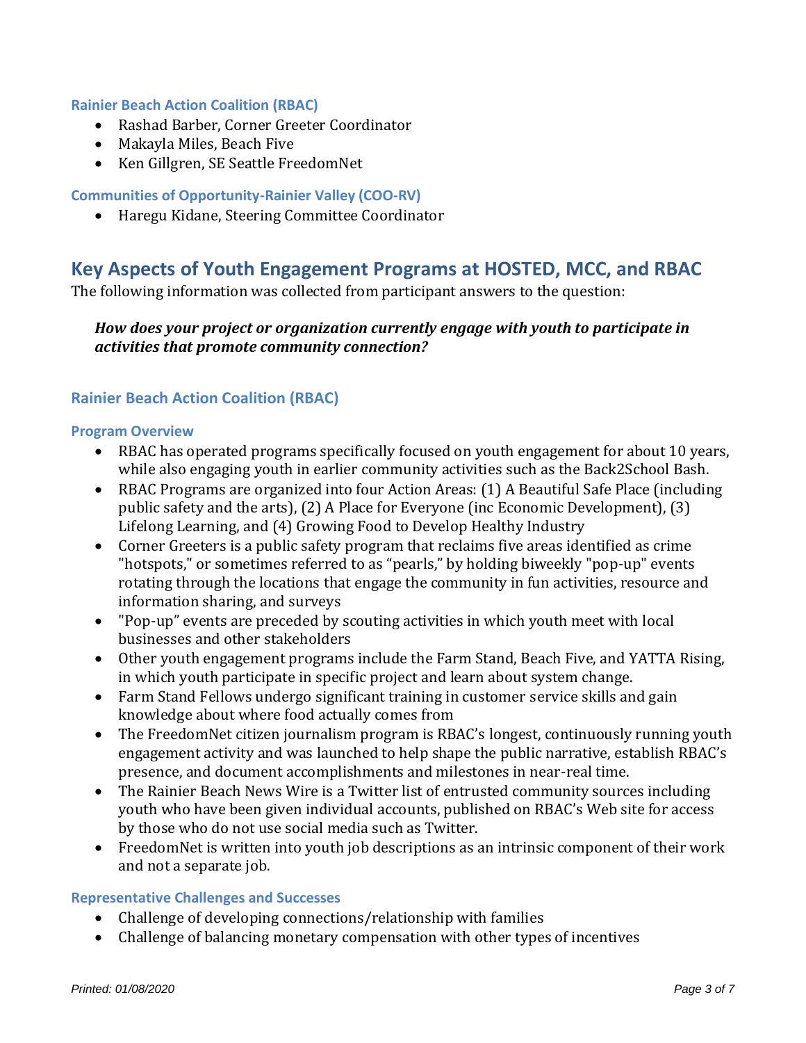#### **Rainier Beach Action Coalition (RBAC)**

- Rashad Barber, Corner Greeter Coordinator
- Makayla Miles, Beach Five
- Ken Gillgren, SE Seattle FreedomNet

#### **Communities of Opportunity-Rainier Valley (COO-RV)**

• Haregu Kidane, Steering Committee Coordinator

## **Key Aspects of Youth Engagement Programs at HOSTED, MCC, and RBAC**

The following information was collected from participant answers to the question:

## *How does your project or organization currently engage with youth to participate in activities that promote community connection?*

## **Rainier Beach Action Coalition (RBAC)**

#### **Program Overview**

- RBAC has operated programs specifically focused on youth engagement for about 10 years, while also engaging youth in earlier community activities such as the Back2School Bash.
- RBAC Programs are organized into four Action Areas: (1) A Beautiful Safe Place (including public safety and the arts), (2) A Place for Everyone (inc Economic Development), (3) Lifelong Learning, and (4) Growing Food to Develop Healthy Industry
- Corner Greeters is a public safety program that reclaims five areas identified as crime "hotspots," or sometimes referred to as "pearls," by holding biweekly "pop-up" events rotating through the locations that engage the community in fun activities, resource and information sharing, and surveys
- "Pop-up" events are preceded by scouting activities in which youth meet with local businesses and other stakeholders
- Other youth engagement programs include the Farm Stand, Beach Five, and YATTA Rising, in which youth participate in specific project and learn about system change.
- Farm Stand Fellows undergo significant training in customer service skills and gain knowledge about where food actually comes from
- The FreedomNet citizen journalism program is RBAC's longest, continuously running youth engagement activity and was launched to help shape the public narrative, establish RBAC's presence, and document accomplishments and milestones in near-real time.
- The Rainier Beach News Wire is a Twitter list of entrusted community sources including youth who have been given individual accounts, published on RBAC's Web site for access by those who do not use social media such as Twitter.
- FreedomNet is written into youth job descriptions as an intrinsic component of their work and not a separate job.

#### **Representative Challenges and Successes**

- Challenge of developing connections/relationship with families
- Challenge of balancing monetary compensation with other types of incentives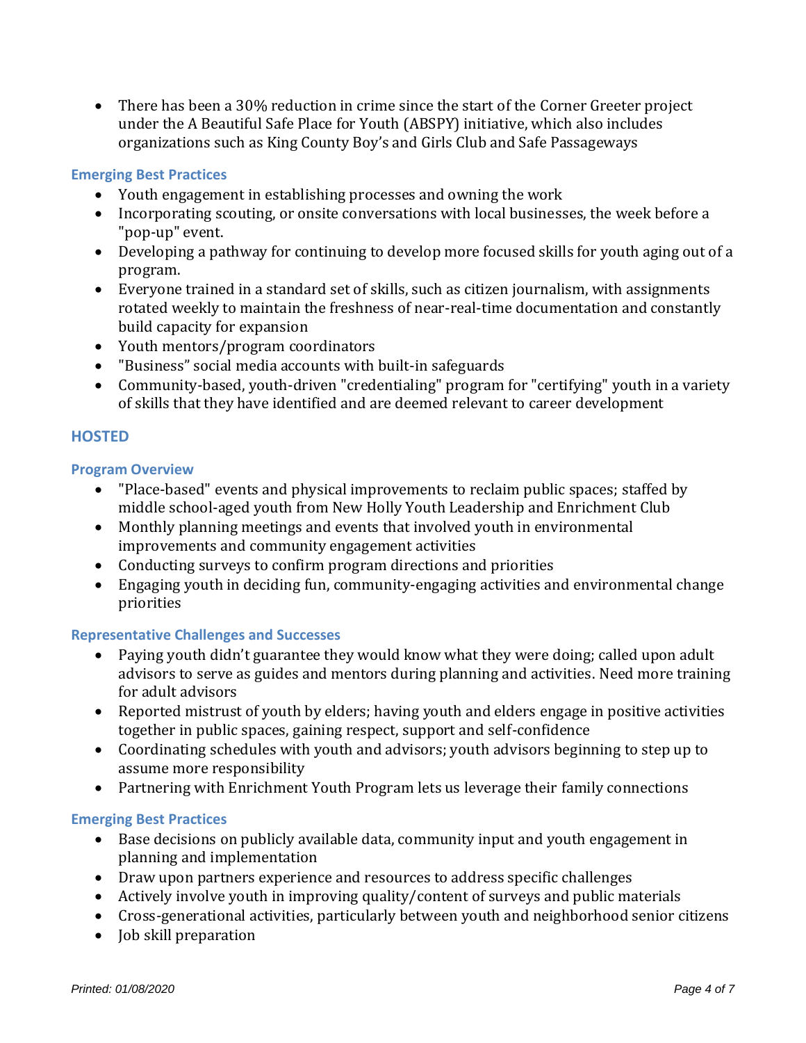• There has been a 30% reduction in crime since the start of the Corner Greeter project under the A Beautiful Safe Place for Youth (ABSPY) initiative, which also includes organizations such as King County Boy's and Girls Club and Safe Passageways

### **Emerging Best Practices**

- Youth engagement in establishing processes and owning the work
- Incorporating scouting, or onsite conversations with local businesses, the week before a "pop-up" event.
- Developing a pathway for continuing to develop more focused skills for youth aging out of a program.
- Everyone trained in a standard set of skills, such as citizen journalism, with assignments rotated weekly to maintain the freshness of near-real-time documentation and constantly build capacity for expansion
- Youth mentors/program coordinators
- "Business" social media accounts with built-in safeguards
- Community-based, youth-driven "credentialing" program for "certifying" youth in a variety of skills that they have identified and are deemed relevant to career development

## **HOSTED**

#### **Program Overview**

- "Place-based" events and physical improvements to reclaim public spaces; staffed by middle school-aged youth from New Holly Youth Leadership and Enrichment Club
- Monthly planning meetings and events that involved youth in environmental improvements and community engagement activities
- Conducting surveys to confirm program directions and priorities
- Engaging youth in deciding fun, community-engaging activities and environmental change priorities

#### **Representative Challenges and Successes**

- Paying youth didn't guarantee they would know what they were doing; called upon adult advisors to serve as guides and mentors during planning and activities. Need more training for adult advisors
- Reported mistrust of youth by elders; having youth and elders engage in positive activities together in public spaces, gaining respect, support and self-confidence
- Coordinating schedules with youth and advisors; youth advisors beginning to step up to assume more responsibility
- Partnering with Enrichment Youth Program lets us leverage their family connections

#### **Emerging Best Practices**

- Base decisions on publicly available data, community input and youth engagement in planning and implementation
- Draw upon partners experience and resources to address specific challenges
- Actively involve youth in improving quality/content of surveys and public materials
- Cross-generational activities, particularly between youth and neighborhood senior citizens
- Job skill preparation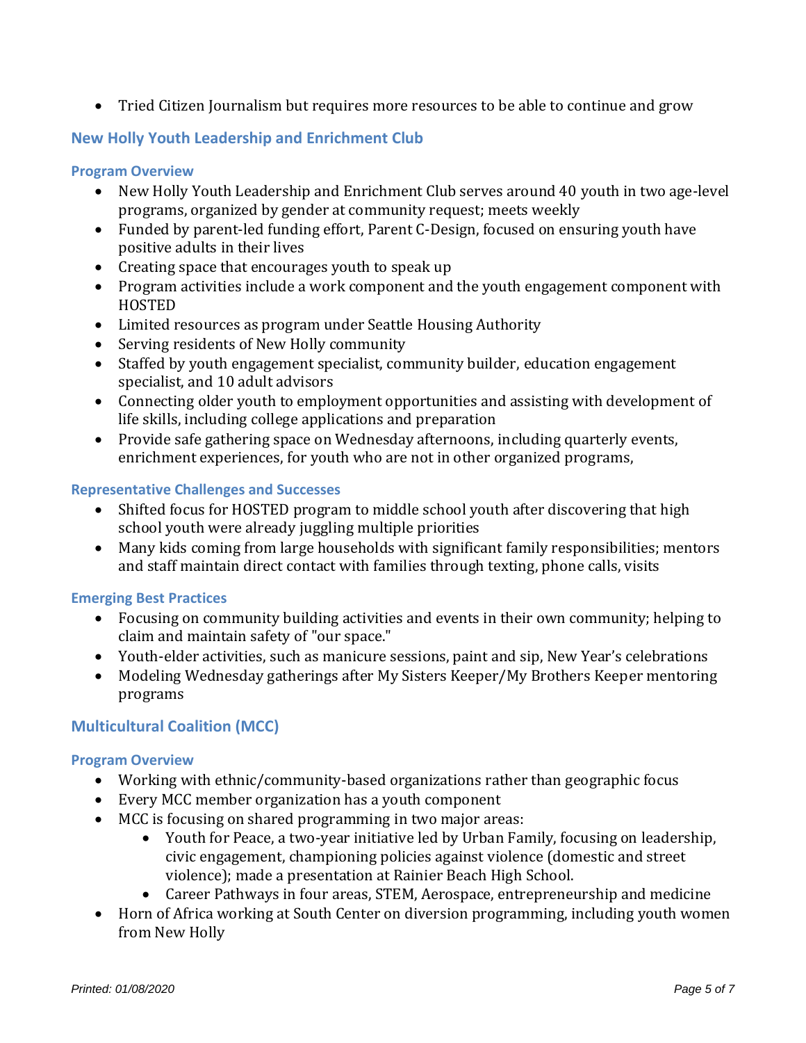• Tried Citizen Journalism but requires more resources to be able to continue and grow

## **New Holly Youth Leadership and Enrichment Club**

#### **Program Overview**

- New Holly Youth Leadership and Enrichment Club serves around 40 youth in two age-level programs, organized by gender at community request; meets weekly
- Funded by parent-led funding effort, Parent C-Design, focused on ensuring youth have positive adults in their lives
- Creating space that encourages youth to speak up
- Program activities include a work component and the youth engagement component with HOSTED
- Limited resources as program under Seattle Housing Authority
- Serving residents of New Holly community
- Staffed by youth engagement specialist, community builder, education engagement specialist, and 10 adult advisors
- Connecting older youth to employment opportunities and assisting with development of life skills, including college applications and preparation
- Provide safe gathering space on Wednesday afternoons, including quarterly events, enrichment experiences, for youth who are not in other organized programs,

### **Representative Challenges and Successes**

- Shifted focus for HOSTED program to middle school youth after discovering that high school youth were already juggling multiple priorities
- Many kids coming from large households with significant family responsibilities; mentors and staff maintain direct contact with families through texting, phone calls, visits

## **Emerging Best Practices**

- Focusing on community building activities and events in their own community; helping to claim and maintain safety of "our space."
- Youth-elder activities, such as manicure sessions, paint and sip, New Year's celebrations
- Modeling Wednesday gatherings after My Sisters Keeper/My Brothers Keeper mentoring programs

## **Multicultural Coalition (MCC)**

#### **Program Overview**

- Working with ethnic/community-based organizations rather than geographic focus
- Every MCC member organization has a youth component
- MCC is focusing on shared programming in two major areas:
	- Youth for Peace, a two-year initiative led by Urban Family, focusing on leadership, civic engagement, championing policies against violence (domestic and street violence); made a presentation at Rainier Beach High School.
	- Career Pathways in four areas, STEM, Aerospace, entrepreneurship and medicine
- Horn of Africa working at South Center on diversion programming, including youth women from New Holly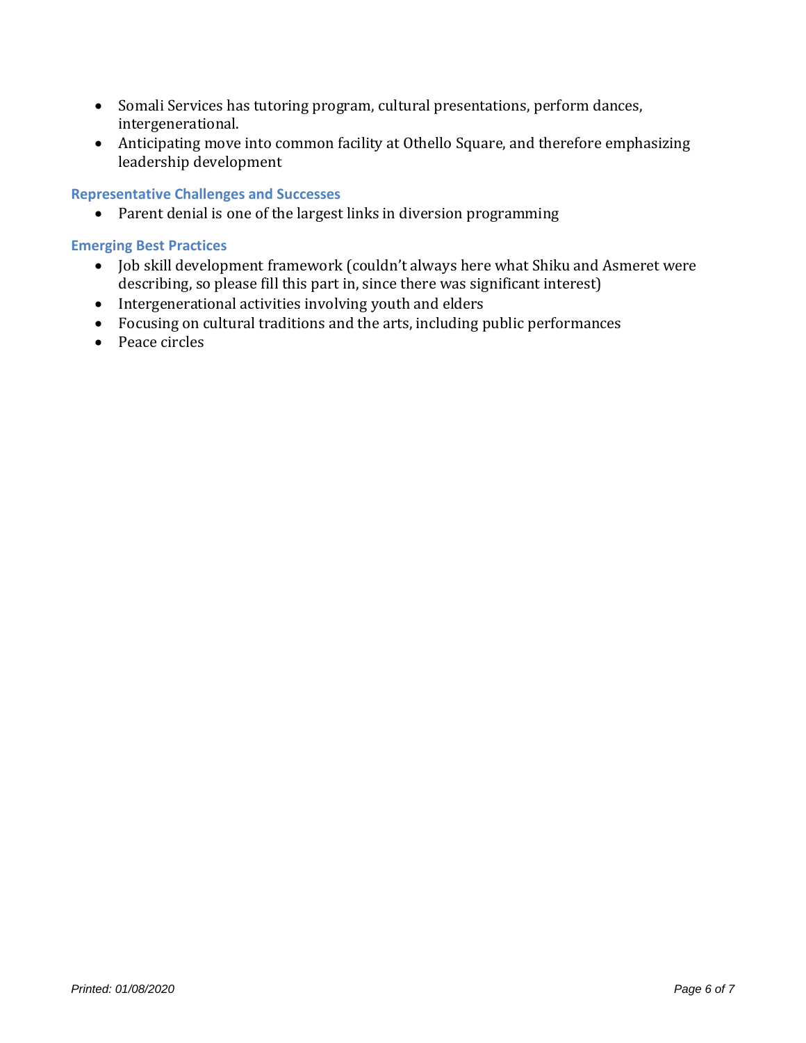- Somali Services has tutoring program, cultural presentations, perform dances, intergenerational.
- Anticipating move into common facility at Othello Square, and therefore emphasizing leadership development

### **Representative Challenges and Successes**

• Parent denial is one of the largest links in diversion programming

#### **Emerging Best Practices**

- Job skill development framework (couldn't always here what Shiku and Asmeret were describing, so please fill this part in, since there was significant interest)
- Intergenerational activities involving youth and elders
- Focusing on cultural traditions and the arts, including public performances
- Peace circles